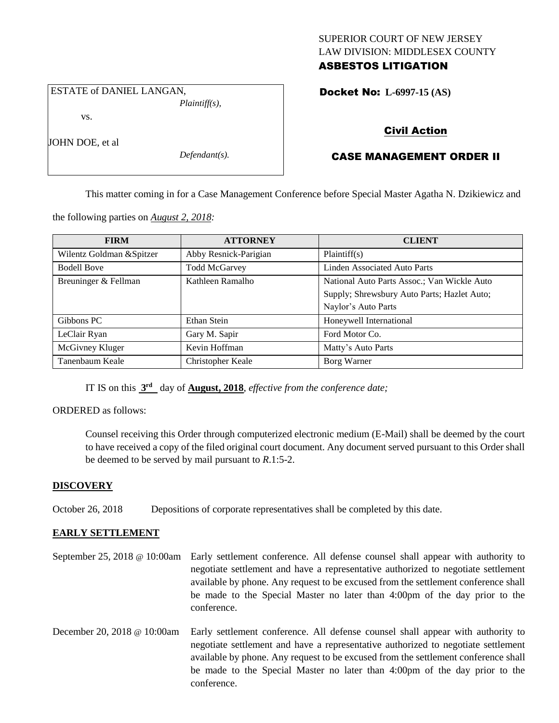## SUPERIOR COURT OF NEW JERSEY LAW DIVISION: MIDDLESEX COUNTY ASBESTOS LITIGATION

ESTATE of DANIEL LANGAN, *Plaintiff(s),*

vs.

JOHN DOE, et al

*Defendant(s).*

## Docket No: **L-6997-15 (AS)**

## Civil Action

# CASE MANAGEMENT ORDER II

This matter coming in for a Case Management Conference before Special Master Agatha N. Dzikiewicz and

the following parties on *August 2, 2018:*

| <b>FIRM</b>               | <b>ATTORNEY</b>       | <b>CLIENT</b>                               |
|---------------------------|-----------------------|---------------------------------------------|
| Wilentz Goldman & Spitzer | Abby Resnick-Parigian | Plaintiff(s)                                |
| <b>Bodell Bove</b>        | <b>Todd McGarvey</b>  | <b>Linden Associated Auto Parts</b>         |
| Breuninger & Fellman      | Kathleen Ramalho      | National Auto Parts Assoc.; Van Wickle Auto |
|                           |                       | Supply; Shrewsbury Auto Parts; Hazlet Auto; |
|                           |                       | Naylor's Auto Parts                         |
| Gibbons PC                | Ethan Stein           | Honeywell International                     |
| LeClair Ryan              | Gary M. Sapir         | Ford Motor Co.                              |
| McGivney Kluger           | Kevin Hoffman         | Matty's Auto Parts                          |
| Tanenbaum Keale           | Christopher Keale     | Borg Warner                                 |

IT IS on this **3 rd** day of **August, 2018**, *effective from the conference date;*

ORDERED as follows:

Counsel receiving this Order through computerized electronic medium (E-Mail) shall be deemed by the court to have received a copy of the filed original court document. Any document served pursuant to this Order shall be deemed to be served by mail pursuant to *R*.1:5-2.

## **DISCOVERY**

October 26, 2018 Depositions of corporate representatives shall be completed by this date.

## **EARLY SETTLEMENT**

- September 25, 2018 @ 10:00am Early settlement conference. All defense counsel shall appear with authority to negotiate settlement and have a representative authorized to negotiate settlement available by phone. Any request to be excused from the settlement conference shall be made to the Special Master no later than 4:00pm of the day prior to the conference.
- December 20, 2018 @ 10:00am Early settlement conference. All defense counsel shall appear with authority to negotiate settlement and have a representative authorized to negotiate settlement available by phone. Any request to be excused from the settlement conference shall be made to the Special Master no later than 4:00pm of the day prior to the conference.